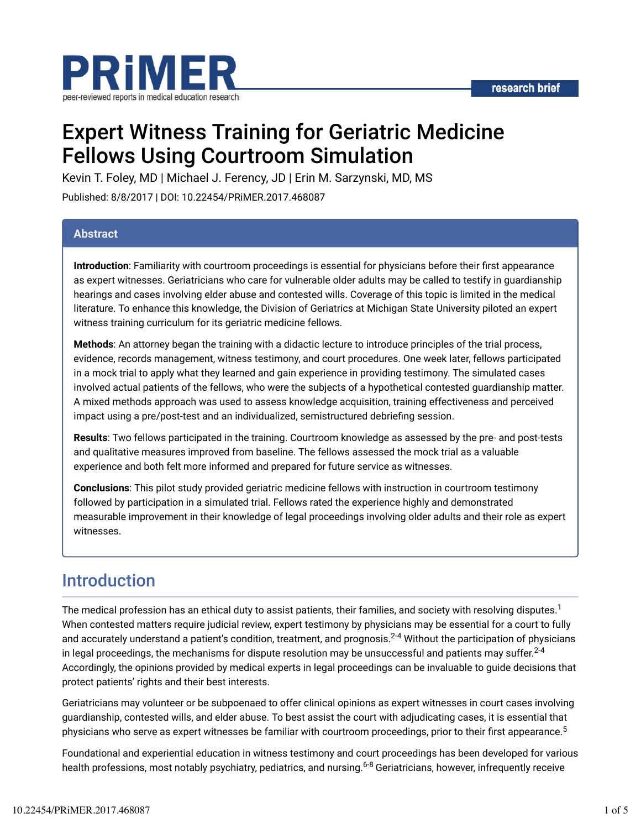

# Expert Witness Training for Geriatric Medicine Fellows Using Courtroom Simulation

Kevin T. Foley, MD | Michael J. Ferency, JD | Erin M. Sarzynski, MD, MS

Published: 8/8/2017 | DOI: 10.22454/PRiMER.2017.468087

#### **Abstract**

**Introduction**: Familiarity with courtroom proceedings is essential for physicians before their first appearance as expert witnesses. Geriatricians who care for vulnerable older adults may be called to testify in guardianship hearings and cases involving elder abuse and contested wills. Coverage of this topic is limited in the medical literature. To enhance this knowledge, the Division of Geriatrics at Michigan State University piloted an expert witness training curriculum for its geriatric medicine fellows.

**Methods**: An attorney began the training with a didactic lecture to introduce principles of the trial process, evidence, records management, witness testimony, and court procedures. One week later, fellows participated in a mock trial to apply what they learned and gain experience in providing testimony. The simulated cases involved actual patients of the fellows, who were the subjects of a hypothetical contested guardianship matter. A mixed methods approach was used to assess knowledge acquisition, training effectiveness and perceived impact using a pre/post-test and an individualized, semistructured debriefing session.

**Results**: Two fellows participated in the training. Courtroom knowledge as assessed by the pre- and post-tests and qualitative measures improved from baseline. The fellows assessed the mock trial as a valuable experience and both felt more informed and prepared for future service as witnesses.

**Conclusions**: This pilot study provided geriatric medicine fellows with instruction in courtroom testimony followed by participation in a simulated trial. Fellows rated the experience highly and demonstrated measurable improvement in their knowledge of legal proceedings involving older adults and their role as expert witnesses.

### Introduction

The medical profession has an ethical duty to assist patients, their families, and society with resolving disputes. $^1$ When contested matters require judicial review, expert testimony by physicians may be essential for a court to fully and accurately understand a patient's condition, treatment, and prognosis.<sup>2-4</sup> Without the participation of physicians in legal proceedings, the mechanisms for dispute resolution may be unsuccessful and patients may suffer. $^{2\text{-}4}$ Accordingly, the opinions provided by medical experts in legal proceedings can be invaluable to guide decisions that protect patients' rights and their best interests.

Geriatricians may volunteer or be subpoenaed to offer clinical opinions as expert witnesses in court cases involving guardianship, contested wills, and elder abuse. To best assist the court with adjudicating cases, it is essential that physicians who serve as expert witnesses be familiar with courtroom proceedings, prior to their first appearance.<sup>5</sup>

Foundational and experiential education in witness testimony and court proceedings has been developed for various health professions, most notably psychiatry, pediatrics, and nursing.<sup>6-8</sup> Geriatricians, however, infrequently receive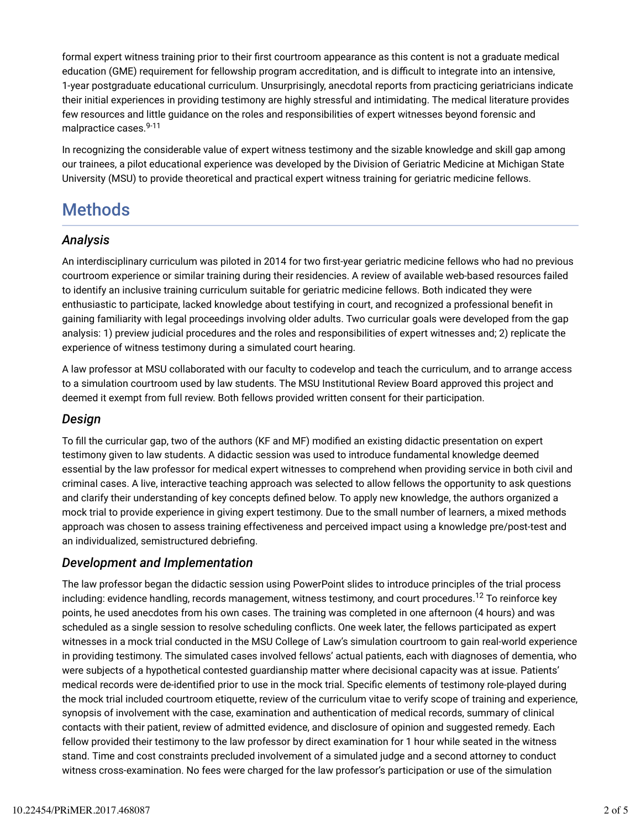formal expert witness training prior to their first courtroom appearance as this content is not a graduate medical education (GME) requirement for fellowship program accreditation, and is difficult to integrate into an intensive, 1-year postgraduate educational curriculum. Unsurprisingly, anecdotal reports from practicing geriatricians indicate their initial experiences in providing testimony are highly stressful and intimidating. The medical literature provides few resources and little guidance on the roles and responsibilities of expert witnesses beyond forensic and malpractice cases. 9-11

In recognizing the considerable value of expert witness testimony and the sizable knowledge and skill gap among our trainees, a pilot educational experience was developed by the Division of Geriatric Medicine at Michigan State University (MSU) to provide theoretical and practical expert witness training for geriatric medicine fellows.

# **Methods**

### *Analysis*

An interdisciplinary curriculum was piloted in 2014 for two first-year geriatric medicine fellows who had no previous courtroom experience or similar training during their residencies. A review of available web-based resources failed to identify an inclusive training curriculum suitable for geriatric medicine fellows. Both indicated they were enthusiastic to participate, lacked knowledge about testifying in court, and recognized a professional benefit in gaining familiarity with legal proceedings involving older adults. Two curricular goals were developed from the gap analysis: 1) preview judicial procedures and the roles and responsibilities of expert witnesses and; 2) replicate the experience of witness testimony during a simulated court hearing.

A law professor at MSU collaborated with our faculty to codevelop and teach the curriculum, and to arrange access to a simulation courtroom used by law students. The MSU Institutional Review Board approved this project and deemed it exempt from full review. Both fellows provided written consent for their participation.

### *Design*

To fill the curricular gap, two of the authors (KF and MF) modified an existing didactic presentation on expert testimony given to law students. A didactic session was used to introduce fundamental knowledge deemed essential by the law professor for medical expert witnesses to comprehend when providing service in both civil and criminal cases. A live, interactive teaching approach was selected to allow fellows the opportunity to ask questions and clarify their understanding of key concepts defined below. To apply new knowledge, the authors organized a mock trial to provide experience in giving expert testimony. Due to the small number of learners, a mixed methods approach was chosen to assess training effectiveness and perceived impact using a knowledge pre/post-test and an individualized, semistructured debriefing.

### *Development and Implementation*

The law professor began the didactic session using PowerPoint slides to introduce principles of the trial process including: evidence handling, records management, witness testimony, and court procedures. $^{12}$  To reinforce key points, he used anecdotes from his own cases. The training was completed in one afternoon (4 hours) and was scheduled as a single session to resolve scheduling conflicts. One week later, the fellows participated as expert witnesses in a mock trial conducted in the MSU College of Law's simulation courtroom to gain real-world experience in providing testimony. The simulated cases involved fellows' actual patients, each with diagnoses of dementia, who were subjects of a hypothetical contested guardianship matter where decisional capacity was at issue. Patients' medical records were de-identified prior to use in the mock trial. Specific elements of testimony role-played during the mock trial included courtroom etiquette, review of the curriculum vitae to verify scope of training and experience, synopsis of involvement with the case, examination and authentication of medical records, summary of clinical contacts with their patient, review of admitted evidence, and disclosure of opinion and suggested remedy. Each fellow provided their testimony to the law professor by direct examination for 1 hour while seated in the witness stand. Time and cost constraints precluded involvement of a simulated judge and a second attorney to conduct witness cross-examination. No fees were charged for the law professor's participation or use of the simulation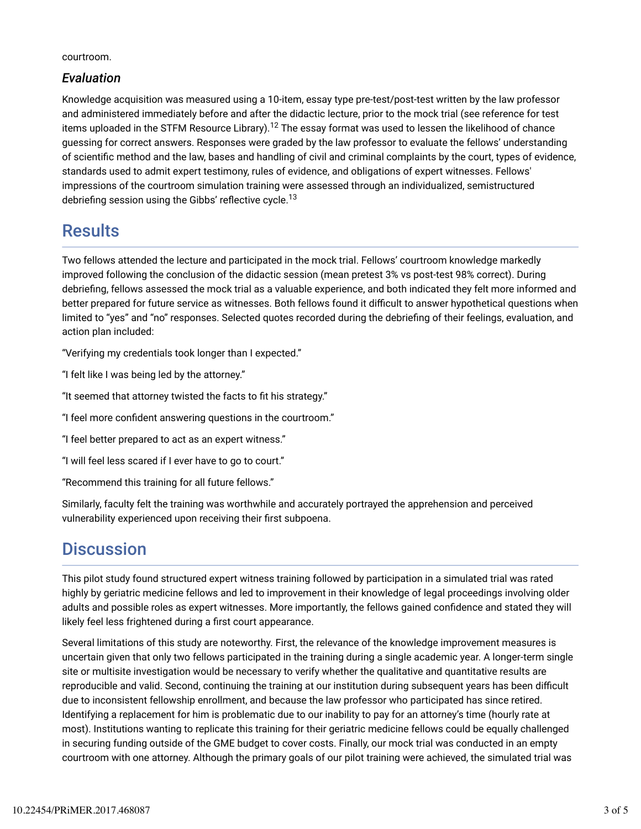courtroom.

### *Evaluation*

Knowledge acquisition was measured using a 10-item, essay type pre-test/post-test written by the law professor and administered immediately before and after the didactic lecture, prior to the mock trial (see reference for test items uploaded in the STFM Resource Library). $^{\sf 12}$  The essay format was used to lessen the likelihood of chance guessing for correct answers. Responses were graded by the law professor to evaluate the fellows' understanding of scientific method and the law, bases and handling of civil and criminal complaints by the court, types of evidence, standards used to admit expert testimony, rules of evidence, and obligations of expert witnesses. Fellows' impressions of the courtroom simulation training were assessed through an individualized, semistructured debriefing session using the Gibbs' reflective cycle.<sup>13</sup>

## **Results**

Two fellows attended the lecture and participated in the mock trial. Fellows' courtroom knowledge markedly improved following the conclusion of the didactic session (mean pretest 3% vs post-test 98% correct). During debriefing, fellows assessed the mock trial as a valuable experience, and both indicated they felt more informed and better prepared for future service as witnesses. Both fellows found it difficult to answer hypothetical questions when limited to "yes" and "no" responses. Selected quotes recorded during the debriefing of their feelings, evaluation, and action plan included:

"Verifying my credentials took longer than I expected."

"I felt like I was being led by the attorney."

"It seemed that attorney twisted the facts to fit his strategy."

"I feel more confident answering questions in the courtroom."

"I feel better prepared to act as an expert witness."

"I will feel less scared if I ever have to go to court."

"Recommend this training for all future fellows."

Similarly, faculty felt the training was worthwhile and accurately portrayed the apprehension and perceived vulnerability experienced upon receiving their first subpoena.

# **Discussion**

This pilot study found structured expert witness training followed by participation in a simulated trial was rated highly by geriatric medicine fellows and led to improvement in their knowledge of legal proceedings involving older adults and possible roles as expert witnesses. More importantly, the fellows gained confidence and stated they will likely feel less frightened during a first court appearance.

Several limitations of this study are noteworthy. First, the relevance of the knowledge improvement measures is uncertain given that only two fellows participated in the training during a single academic year. A longer-term single site or multisite investigation would be necessary to verify whether the qualitative and quantitative results are reproducible and valid. Second, continuing the training at our institution during subsequent years has been difficult due to inconsistent fellowship enrollment, and because the law professor who participated has since retired. Identifying a replacement for him is problematic due to our inability to pay for an attorney's time (hourly rate at most). Institutions wanting to replicate this training for their geriatric medicine fellows could be equally challenged in securing funding outside of the GME budget to cover costs. Finally, our mock trial was conducted in an empty courtroom with one attorney. Although the primary goals of our pilot training were achieved, the simulated trial was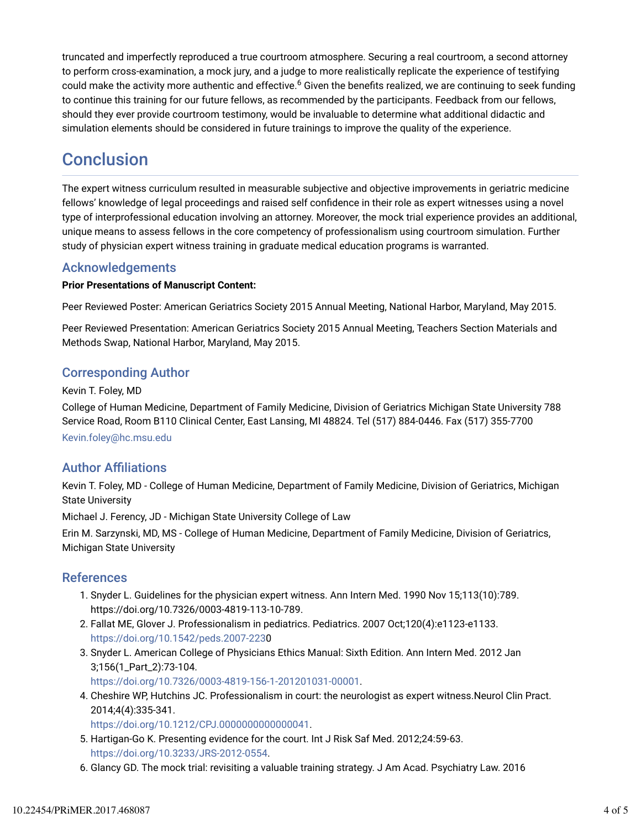truncated and imperfectly reproduced a true courtroom atmosphere. Securing a real courtroom, a second attorney to perform cross-examination, a mock jury, and a judge to more realistically replicate the experience of testifying could make the activity more authentic and effective.<sup>6</sup> Given the benefits realized, we are continuing to seek funding to continue this training for our future fellows, as recommended by the participants. Feedback from our fellows, should they ever provide courtroom testimony, would be invaluable to determine what additional didactic and simulation elements should be considered in future trainings to improve the quality of the experience.

# **Conclusion**

The expert witness curriculum resulted in measurable subjective and objective improvements in geriatric medicine fellows' knowledge of legal proceedings and raised self confidence in their role as expert witnesses using a novel type of interprofessional education involving an attorney. Moreover, the mock trial experience provides an additional, unique means to assess fellows in the core competency of professionalism using courtroom simulation. Further study of physician expert witness training in graduate medical education programs is warranted.

### Acknowledgements

#### **Prior Presentations of Manuscript Content:**

Peer Reviewed Poster: American Geriatrics Society 2015 Annual Meeting, National Harbor, Maryland, May 2015.

Peer Reviewed Presentation: American Geriatrics Society 2015 Annual Meeting, Teachers Section Materials and Methods Swap, National Harbor, Maryland, May 2015.

### Corresponding Author

#### Kevin T. Foley, MD

College of Human Medicine, Department of Family Medicine, Division of Geriatrics Michigan State University 788 Service Road, Room B110 Clinical Center, East Lansing, MI 48824. Tel (517) 884-0446. Fax (517) 355-7700

Kevin.foley@hc.msu.edu

### **Author Affiliations**

Kevin T. Foley, MD - College of Human Medicine, Department of Family Medicine, Division of Geriatrics, Michigan State University

Michael J. Ferency, JD - Michigan State University College of Law

Erin M. Sarzynski, MD, MS - College of Human Medicine, Department of Family Medicine, Division of Geriatrics, Michigan State University

### References

- 1. Snyder L. Guidelines for the physician expert witness. Ann Intern Med. 1990 Nov 15;113(10):789. https://doi.org/10.7326/0003-4819-113-10-789.
- Fallat ME, Glover J. Professionalism in pediatrics. Pediatrics. 2007 Oct;120(4):e1123-e1133. 2. https://doi.org/10.1542/peds.2007-2230
- 3. Snyder L. American College of Physicians Ethics Manual: Sixth Edition. Ann Intern Med. 2012 Jan 3;156(1\_Part\_2):73-104.

https://doi.org/10.7326/0003-4819-156-1-201201031-00001.

Cheshire WP, Hutchins JC. Professionalism in court: the neurologist as expert witness.Neurol Clin Pract. 4. 2014;4(4):335-341.

https://doi.org/10.1212/CPJ.0000000000000041.

- 5. Hartigan-Go K. Presenting evidence for the court. Int J Risk Saf Med. 2012;24:59-63. https://doi.org/10.3233/JRS-2012-0554.
- 6. Glancy GD. The mock trial: revisiting a valuable training strategy. J Am Acad. Psychiatry Law. 2016